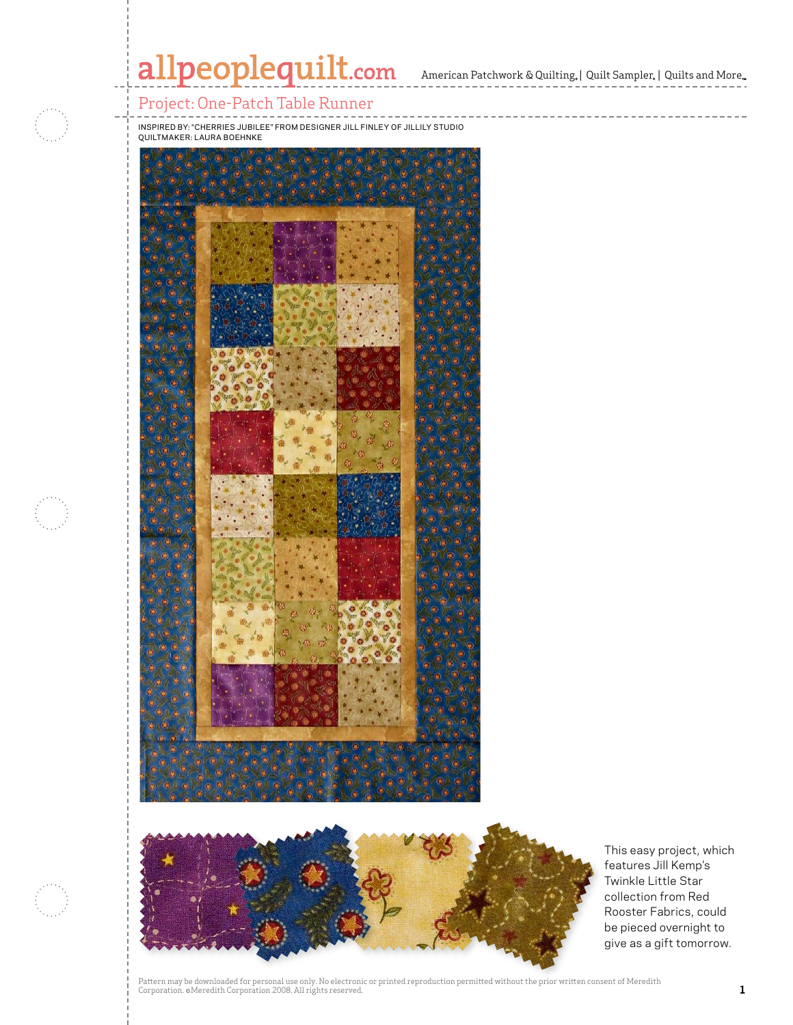# allpeoplequilt.com American Patchwork & Quilting. | Quilt Sampler. | Quilts and More..

### Project: One-Patch Table Runner

Inspired by: "Cherries Jubilee" from designer Jill Finley of Jillily Studio Quiltmaker: Laura Boehnke







This easy project, which features Jill Kemp's Twinkle Little Star collection from Red Rooster Fabrics, could be pieced overnight to give as a gift tomorrow.

Pattern may be downloaded for personal use only. No electronic or printed reproduction permitted without the prior written consent of Meredith rattern ing ve townloaded to personan die our two eccupations of princed reproduction permitted without the prior written consent or recreating the Corporation. @Meredith Corporation 2008. All rights reserved.